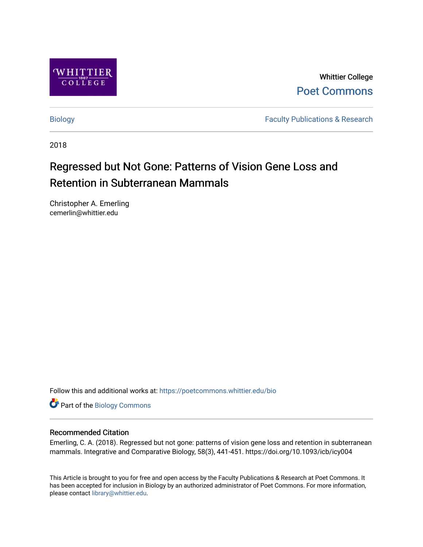

Whittier College [Poet Commons](https://poetcommons.whittier.edu/) 

[Biology](https://poetcommons.whittier.edu/bio) **Faculty Publications & Research** 

2018

# Regressed but Not Gone: Patterns of Vision Gene Loss and Retention in Subterranean Mammals

Christopher A. Emerling cemerlin@whittier.edu

Follow this and additional works at: [https://poetcommons.whittier.edu/bio](https://poetcommons.whittier.edu/bio?utm_source=poetcommons.whittier.edu%2Fbio%2F20&utm_medium=PDF&utm_campaign=PDFCoverPages)

Part of the [Biology Commons](http://network.bepress.com/hgg/discipline/41?utm_source=poetcommons.whittier.edu%2Fbio%2F20&utm_medium=PDF&utm_campaign=PDFCoverPages) 

# Recommended Citation

Emerling, C. A. (2018). Regressed but not gone: patterns of vision gene loss and retention in subterranean mammals. Integrative and Comparative Biology, 58(3), 441-451. https://doi.org/10.1093/icb/icy004

This Article is brought to you for free and open access by the Faculty Publications & Research at Poet Commons. It has been accepted for inclusion in Biology by an authorized administrator of Poet Commons. For more information, please contact [library@whittier.edu](mailto:library@whittier.edu).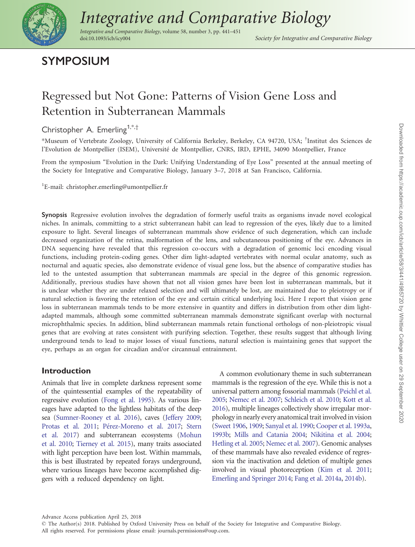

# [Integrative and Comparative Biology](https://academic.oup.com/)

Integrative and Comparative Biology, volume 58, number 3, pp. 441–451 doi:10.1093/icb/icy004 Society for Integrative and Comparative Biology

# SYMPOSIUM

# Regressed but Not Gone: Patterns of Vision Gene Loss and Retention in Subterranean Mammals

Christopher A. Emerling<sup>1,\*,†</sup>

\*Museum of Vertebrate Zoology, University of California Berkeley, Berkeley, CA 94720, USA; † Institut des Sciences de l'Evolution de Montpellier (ISEM), Université de Montpellier, CNRS, IRD, EPHE, 34090 Montpellier, France

From the symposium "Evolution in the Dark: Unifying Understanding of Eye Loss" presented at the annual meeting of the Society for Integrative and Comparative Biology, January 3–7, 2018 at San Francisco, California.

1 E-mail: christopher.emerling@umontpellier.fr

Synopsis Regressive evolution involves the degradation of formerly useful traits as organisms invade novel ecological niches. In animals, committing to a strict subterranean habit can lead to regression of the eyes, likely due to a limited exposure to light. Several lineages of subterranean mammals show evidence of such degeneration, which can include decreased organization of the retina, malformation of the lens, and subcutaneous positioning of the eye. Advances in DNA sequencing have revealed that this regression co-occurs with a degradation of genomic loci encoding visual functions, including protein-coding genes. Other dim light-adapted vertebrates with normal ocular anatomy, such as nocturnal and aquatic species, also demonstrate evidence of visual gene loss, but the absence of comparative studies has led to the untested assumption that subterranean mammals are special in the degree of this genomic regression. Additionally, previous studies have shown that not all vision genes have been lost in subterranean mammals, but it is unclear whether they are under relaxed selection and will ultimately be lost, are maintained due to pleiotropy or if natural selection is favoring the retention of the eye and certain critical underlying loci. Here I report that vision gene loss in subterranean mammals tends to be more extensive in quantity and differs in distribution from other dim lightadapted mammals, although some committed subterranean mammals demonstrate significant overlap with nocturnal microphthalmic species. In addition, blind subterranean mammals retain functional orthologs of non-pleiotropic visual genes that are evolving at rates consistent with purifying selection. Together, these results suggest that although living underground tends to lead to major losses of visual functions, natural selection is maintaining genes that support the eye, perhaps as an organ for circadian and/or circannual entrainment.

# Introduction

Animals that live in complete darkness represent some of the quintessential examples of the repeatability of regressive evolution [\(Fong et al. 1995\)](#page-9-0). As various lineages have adapted to the lightless habitats of the deep sea [\(Sumner-Rooney et al. 2016\)](#page-10-0), caves ([Jeffery 2009;](#page-10-0) [Protas et al. 2011;](#page-10-0) [P](#page-10-0)é[rez-Moreno et al. 2017;](#page-10-0) [Stern](#page-10-0) [et al. 2017\)](#page-10-0) and subterranean ecosystems [\(Mohun](#page-10-0) [et al. 2010](#page-10-0); [Tierney et al. 2015](#page-11-0)), many traits associated with light perception have been lost. Within mammals, this is best illustrated by repeated forays underground, where various lineages have become accomplished diggers with a reduced dependency on light.

A common evolutionary theme in such subterranean mammals is the regression of the eye. While this is not a universal pattern among fossorial mammals [\(Peichl et al.](#page-10-0) [2005;](#page-10-0) [Nemec et al. 2007;](#page-10-0) [Schleich et al. 2010;](#page-10-0) [Kott et al.](#page-10-0) [2016\)](#page-10-0), multiple lineages collectively show irregular morphology in nearly every anatomical trait involved in vision [\(Sweet 1906,](#page-10-0) [1909](#page-10-0); [Sanyal et al. 1990](#page-10-0); [Cooper et al. 1993a,](#page-9-0) [1993b;](#page-9-0) [Mills and Catania 2004;](#page-10-0) [Nikitina et al. 2004;](#page-10-0) [Hetling et al. 2005](#page-9-0); [Nemec et al. 2007\)](#page-10-0). Genomic analyses of these mammals have also revealed evidence of regression via the inactivation and deletion of multiple genes involved in visual photoreception [\(Kim et al. 2011](#page-10-0); [Emerling and Springer 2014;](#page-9-0) [Fang et al. 2014a,](#page-9-0) [2014b\)](#page-9-0).

<sup>-</sup> The Author(s) 2018. Published by Oxford University Press on behalf of the Society for Integrative and Comparative Biology. All rights reserved. For permissions please email: journals.permissions@oup.com.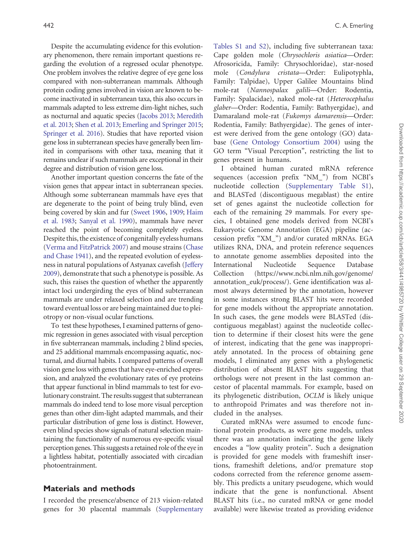Despite the accumulating evidence for this evolutionary phenomenon, there remain important questions regarding the evolution of a regressed ocular phenotype. One problem involves the relative degree of eye gene loss compared with non-subterranean mammals. Although protein coding genes involved in vision are known to become inactivated in subterranean taxa, this also occurs in mammals adapted to less extreme dim-light niches, such as nocturnal and aquatic species ([Jacobs 2013;](#page-9-0) [Meredith](#page-10-0) [et al. 2013;](#page-10-0) [Shen et al. 2013](#page-10-0); [Emerling and Springer 2015](#page-9-0); [Springer et al. 2016](#page-10-0)). Studies that have reported vision gene loss in subterranean species have generally been limited in comparisons with other taxa, meaning that it remains unclear if such mammals are exceptional in their degree and distribution of vision gene loss.

Another important question concerns the fate of the vision genes that appear intact in subterranean species. Although some subterranean mammals have eyes that are degenerate to the point of being truly blind, even being covered by skin and fur [\(Sweet 1906](#page-10-0), [1909;](#page-10-0) [Haim](#page-9-0) [et al. 1983](#page-9-0); [Sanyal et al. 1990\)](#page-10-0), mammals have never reached the point of becoming completely eyeless. Despite this, the existence of congenitally eyeless humans [\(Verma and FitzPatrick 2007\)](#page-11-0) and mouse strains [\(Chase](#page-9-0) [and Chase 1941\)](#page-9-0), and the repeated evolution of eyelessness in natural populations of Astyanax cavefish [\(Jeffery](#page-10-0) [2009\)](#page-10-0), demonstrate that such a phenotype is possible. As such, this raises the question of whether the apparently intact loci undergirding the eyes of blind subterranean mammals are under relaxed selection and are trending toward eventual loss or are being maintained due to pleiotropy or non-visual ocular functions.

To test these hypotheses, I examined patterns of genomic regression in genes associated with visual perception in five subterranean mammals, including 2 blind species, and 25 additional mammals encompassing aquatic, nocturnal, and diurnal habits. I compared patterns of overall vision gene loss with genes that have eye-enriched expression, and analyzed the evolutionary rates of eye proteins that appear functional in blind mammals to test for evolutionary constraint. The results suggest that subterranean mammals do indeed tend to lose more visual perception genes than other dim-light adapted mammals, and their particular distribution of gene loss is distinct. However, even blind species show signals of natural selection maintaining the functionality of numerous eye-specific visual perception genes. This suggests a retained role of the eye in a lightless habitat, potentially associated with circadian photoentrainment.

#### Materials and methods

I recorded the presence/absence of 213 vision-related genes for 30 placental mammals ([Supplementary](https://academic.oup.com/icb/article-lookup/doi/10.1093/icb/icy004#supplementary-data) [Tables S1 and S2](https://academic.oup.com/icb/article-lookup/doi/10.1093/icb/icy004#supplementary-data)), including five subterranean taxa: Cape golden mole (Chrysochloris asiatica—Order: Afrosoricida, Family: Chrysochloridae), star-nosed mole (Condylura cristata—Order: Eulipotyphla, Family: Talpidae), Upper Galilee Mountains blind mole-rat (Nannospalax galili—Order: Rodentia, Family: Spalacidae), naked mole-rat (Heterocephalus glaber—Order: Rodentia, Family: Bathyergidae), and Damaraland mole-rat (Fukomys damarensis—Order: Rodentia, Family: Bathyergidae). The genes of interest were derived from the gene ontology (GO) database [\(Gene Ontology Consortium 2004](#page-9-0)) using the GO term "Visual Perception", restricting the list to genes present in humans.

I obtained human curated mRNA reference sequences (accession prefix "NM\_") from NCBI's nucleotide collection ([Supplementary Table S1\)](https://academic.oup.com/icb/article-lookup/doi/10.1093/icb/icy004#supplementary-data), and BLASTed (discontiguous megablast) the entire set of genes against the nucleotide collection for each of the remaining 29 mammals. For every species, I obtained gene models derived from NCBI's Eukaryotic Genome Annotation (EGA) pipeline (accession prefix "XM\_") and/or curated mRNAs. EGA utilizes RNA, DNA, and protein reference sequences to annotate genome assemblies deposited into the International Nucleotide Sequence Database Collection ([https://www.ncbi.nlm.nih.gov/genome/](https://www.ncbi.nlm.nih.gov/genome/annotation_euk/process) [annotation\\_euk/process/](https://www.ncbi.nlm.nih.gov/genome/annotation_euk/process)). Gene identification was almost always determined by the annotation, however in some instances strong BLAST hits were recorded for gene models without the appropriate annotation. In such cases, the gene models were BLASTed (discontiguous megablast) against the nucleotide collection to determine if their closest hits were the gene of interest, indicating that the gene was inappropriately annotated. In the process of obtaining gene models, I eliminated any genes with a phylogenetic distribution of absent BLAST hits suggesting that orthologs were not present in the last common ancestor of placental mammals. For example, based on its phylogenetic distribution, OCLM is likely unique to anthropoid Primates and was therefore not included in the analyses.

Curated mRNAs were assumed to encode functional protein products, as were gene models, unless there was an annotation indicating the gene likely encodes a "low quality protein". Such a designation is provided for gene models with frameshift insertions, frameshift deletions, and/or premature stop codons corrected from the reference genome assembly. This predicts a unitary pseudogene, which would indicate that the gene is nonfunctional. Absent BLAST hits (i.e., no curated mRNA or gene model available) were likewise treated as providing evidence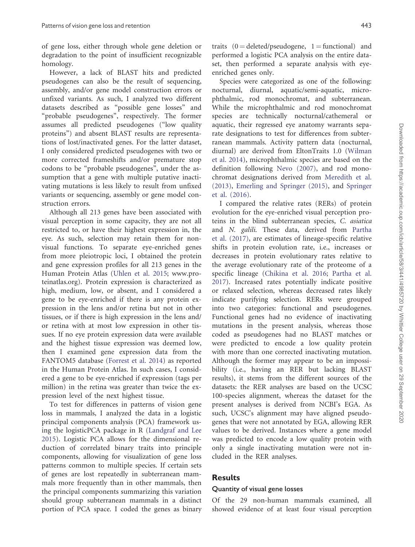of gene loss, either through whole gene deletion or degradation to the point of insufficient recognizable homology.

However, a lack of BLAST hits and predicted pseudogenes can also be the result of sequencing, assembly, and/or gene model construction errors or unfixed variants. As such, I analyzed two different datasets described as "possible gene losses" and "probable pseudogenes", respectively. The former assumes all predicted pseudogenes ("low quality proteins") and absent BLAST results are representations of lost/inactivated genes. For the latter dataset, I only considered predicted pseudogenes with two or more corrected frameshifts and/or premature stop codons to be "probable pseudogenes", under the assumption that a gene with multiple putative inactivating mutations is less likely to result from unfixed variants or sequencing, assembly or gene model construction errors.

Although all 213 genes have been associated with visual perception in some capacity, they are not all restricted to, or have their highest expression in, the eye. As such, selection may retain them for nonvisual functions. To separate eye-enriched genes from more pleiotropic loci, I obtained the protein and gene expression profiles for all 213 genes in the Human Protein Atlas [\(Uhlen et al. 2015;](#page-11-0) [www.pro](http://www.proteinatlas.org)[teinatlas.org](http://www.proteinatlas.org)). Protein expression is characterized as high, medium, low, or absent, and I considered a gene to be eye-enriched if there is any protein expression in the lens and/or retina but not in other tissues, or if there is high expression in the lens and/ or retina with at most low expression in other tissues. If no eye protein expression data were available and the highest tissue expression was deemed low, then I examined gene expression data from the FANTOM5 database [\(Forrest et al. 2014\)](#page-9-0) as reported in the Human Protein Atlas. In such cases, I considered a gene to be eye-enriched if expression (tags per million) in the retina was greater than twice the expression level of the next highest tissue.

To test for differences in patterns of vision gene loss in mammals, I analyzed the data in a logistic principal components analysis (PCA) framework using the logisticPCA package in R ([Landgraf and Lee](#page-10-0) [2015\)](#page-10-0). Logistic PCA allows for the dimensional reduction of correlated binary traits into principle components, allowing for visualization of gene loss patterns common to multiple species. If certain sets of genes are lost repeatedly in subterranean mammals more frequently than in other mammals, then the principal components summarizing this variation should group subterranean mammals in a distinct portion of PCA space. I coded the genes as binary

traits  $(0 =$  deleted/pseudogene,  $1 =$  functional) and performed a logistic PCA analysis on the entire dataset, then performed a separate analysis with eyeenriched genes only.

Species were categorized as one of the following: nocturnal, diurnal, aquatic/semi-aquatic, microphthalmic, rod monochromat, and subterranean. While the microphthalmic and rod monochromat species are technically nocturnal/cathemeral or aquatic, their regressed eye anatomy warrants separate designations to test for differences from subterranean mammals. Activity pattern data (nocturnal, diurnal) are derived from EltonTraits 1.0 ([Wilman](#page-11-0) [et al. 2014\)](#page-11-0), microphthalmic species are based on the definition following [Nevo \(2007\)](#page-10-0), and rod monochromat designations derived from [Meredith et al.](#page-10-0) [\(2013\)](#page-10-0), [Emerling and Springer \(2015\)](#page-9-0), and [Springer](#page-10-0) [et al. \(2016\)](#page-10-0).

I compared the relative rates (RERs) of protein evolution for the eye-enriched visual perception proteins in the blind subterranean species, C. asiatica and N. galili. These data, derived from [Partha](#page-10-0) [et al. \(2017\)](#page-10-0), are estimates of lineage-specific relative shifts in protein evolution rate, i.e., increases or decreases in protein evolutionary rates relative to the average evolutionary rate of the proteome of a specific lineage [\(Chikina et al. 2016](#page-9-0); [Partha et al.](#page-10-0) [2017](#page-10-0)). Increased rates potentially indicate positive or relaxed selection, whereas decreased rates likely indicate purifying selection. RERs were grouped into two categories: functional and pseudogenes. Functional genes had no evidence of inactivating mutations in the present analysis, whereas those coded as pseudogenes had no BLAST matches or were predicted to encode a low quality protein with more than one corrected inactivating mutation. Although the former may appear to be an impossibility (i.e., having an RER but lacking BLAST results), it stems from the different sources of the datasets: the RER analyses are based on the UCSC 100-species alignment, whereas the dataset for the present analyses is derived from NCBI's EGA. As such, UCSC's alignment may have aligned pseudogenes that were not annotated by EGA, allowing RER values to be derived. Instances where a gene model was predicted to encode a low quality protein with only a single inactivating mutation were not included in the RER analyses.

#### Results

#### Quantity of visual gene losses

Of the 29 non-human mammals examined, all showed evidence of at least four visual perception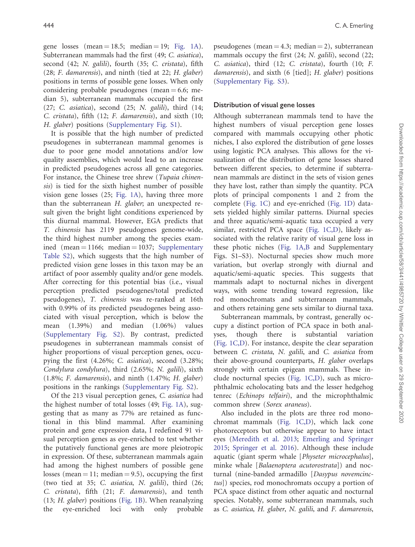gene losses (mean  $= 18.5$ ; median  $= 19$ ; [Fig. 1A](#page-5-0)). Subterranean mammals had the first (49; C. asiatica), second (42; N. galili), fourth (35; C. cristata), fifth (28; F. damarensis), and ninth (tied at 22; H. glaber) positions in terms of possible gene losses. When only considering probable pseudogenes (mean  $= 6.6$ ; median 5), subterranean mammals occupied the first (27; C. asiatica), second (25; N. galili), third (14; C. cristata), fifth (12; F. damarensis), and sixth (10; H. glaber) positions [\(Supplementary Fig. S1\)](https://academic.oup.com/icb/article-lookup/doi/10.1093/icb/icy004#supplementary-data).

It is possible that the high number of predicted pseudogenes in subterranean mammal genomes is due to poor gene model annotations and/or low quality assemblies, which would lead to an increase in predicted pseudogenes across all gene categories. For instance, the Chinese tree shrew (Tupaia chinensis) is tied for the sixth highest number of possible vision gene losses (25; [Fig. 1A\)](#page-5-0), having three more than the subterranean H. glaber; an unexpected result given the bright light conditions experienced by this diurnal mammal. However, EGA predicts that T. chinensis has 2119 pseudogenes genome-wide, the third highest number among the species examined (mean  $=$  1166; median  $=$  1037; [Supplementary](https://academic.oup.com/icb/article-lookup/doi/10.1093/icb/icy004#supplementary-data) [Table S2](https://academic.oup.com/icb/article-lookup/doi/10.1093/icb/icy004#supplementary-data)), which suggests that the high number of predicted vision gene losses in this taxon may be an artifact of poor assembly quality and/or gene models. After correcting for this potential bias (i.e., visual perception predicted pseudogenes/total predicted pseudogenes), T. chinensis was re-ranked at 16th with 0.99% of its predicted pseudogenes being associated with visual perception, which is below the mean (1.39%) and median (1.06%) values [\(Supplementary Fig. S2](https://academic.oup.com/icb/article-lookup/doi/10.1093/icb/icy004#supplementary-data)). By contrast, predicted pseudogenes in subterranean mammals consist of higher proportions of visual perception genes, occupying the first (4.26%; C. asiatica), second (3.28%; Condylura condylura), third (2.65%; N. galili), sixth (1.8%; F. damarensis), and ninth (1.47%; H. glaber) positions in the rankings [\(Supplementary Fig. S2](https://academic.oup.com/icb/article-lookup/doi/10.1093/icb/icy004#supplementary-data)).

Of the 213 visual perception genes, C. asiatica had the highest number of total losses (49; [Fig. 1A\)](#page-5-0), suggesting that as many as 77% are retained as functional in this blind mammal. After examining protein and gene expression data, I redefined 91 visual perception genes as eye-enriched to test whether the putatively functional genes are more pleiotropic in expression. Of these, subterranean mammals again had among the highest numbers of possible gene losses (mean  $= 11$ ; median  $= 9.5$ ), occupying the first (two tied at 35; C. asiatica, N. galili), third (26; C. cristata), fifth (21; F. damarensis), and tenth (13; H. glaber) positions ([Fig. 1B\)](#page-5-0). When reanalyzing the eye-enriched loci with only probable

pseudogenes (mean  $=$  4.3; median  $=$  2), subterranean mammals occupy the first (24; N. *galili*), second (22; C. asiatica), third (12; C. cristata), fourth (10; F. damarensis), and sixth (6 [tied]; H. glaber) positions ([Supplementary Fig. S3](https://academic.oup.com/icb/article-lookup/doi/10.1093/icb/icy004#supplementary-data)).

#### Distribution of visual gene losses

Although subterranean mammals tend to have the highest numbers of visual perception gene losses compared with mammals occupying other photic niches, I also explored the distribution of gene losses using logistic PCA analyses. This allows for the visualization of the distribution of gene losses shared between different species, to determine if subterranean mammals are distinct in the sets of vision genes they have lost, rather than simply the quantity. PCA plots of principal components 1 and 2 from the complete [\(Fig. 1C](#page-5-0)) and eye-enriched ([Fig. 1D\)](#page-5-0) datasets yielded highly similar patterns. Diurnal species and three aquatic/semi-aquatic taxa occupied a very similar, restricted PCA space ([Fig. 1C,D\)](#page-5-0), likely associated with the relative rarity of visual gene loss in these photic niches ([Fig. 1A,B](#page-5-0) and Supplementary Figs. S1–S3). Nocturnal species show much more variation, but overlap strongly with diurnal and aquatic/semi-aquatic species. This suggests that mammals adapt to nocturnal niches in divergent ways, with some trending toward regression, like rod monochromats and subterranean mammals, and others retaining gene sets similar to diurnal taxa.

Subterranean mammals, by contrast, generally occupy a distinct portion of PCA space in both analyses, though there is substantial variation ([Fig. 1C,D](#page-5-0)). For instance, despite the clear separation between C. cristata, N. galili, and C. asiatica from their above-ground counterparts, H. glaber overlaps strongly with certain epigean mammals. These include nocturnal species ([Fig. 1C,D\)](#page-5-0), such as microphthalmic echolocating bats and the lesser hedgehog tenrec (Echinops telfairi), and the microphthalmic common shrew (Sorex araneus).

Also included in the plots are three rod monochromat mammals ([Fig. 1C,D](#page-5-0)), which lack cone photoreceptors but otherwise appear to have intact eyes [\(Meredith et al. 2013](#page-10-0); [Emerling and Springer](#page-9-0) [2015;](#page-9-0) [Springer et al. 2016](#page-10-0)). Although these include aquatic (giant sperm whale [Physeter microcephalus], minke whale [Balaenoptera acutorostrata]) and nocturnal (nine-banded armadillo [Dasypus novemcinctus]) species, rod monochromats occupy a portion of PCA space distinct from other aquatic and nocturnal species. Notably, some subterranean mammals, such as C. asiatica, H. glaber, N. galili, and F. damarensis,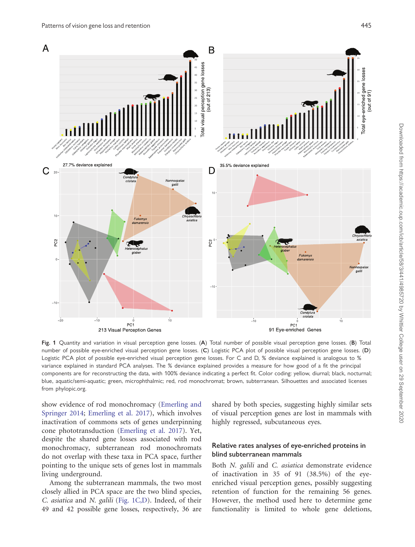<span id="page-5-0"></span>

Fig. 1 Quantity and variation in visual perception gene losses. (A) Total number of possible visual perception gene losses. (B) Total number of possible eye-enriched visual perception gene losses. (C) Logistic PCA plot of possible visual perception gene losses. (D) Logistic PCA plot of possible eye-enriched visual perception gene losses. For C and D, % deviance explained is analogous to % variance explained in standard PCA analyses. The % deviance explained provides a measure for how good of a fit the principal components are for reconstructing the data, with 100% deviance indicating a perfect fit. Color coding: yellow, diurnal; black, nocturnal; blue, aquatic/semi-aquatic; green, microphthalmic; red, rod monochromat; brown, subterranean. Silhouettes and associated licenses from phylopic.org.

show evidence of rod monochromacy [\(Emerling and](#page-9-0) [Springer 2014;](#page-9-0) [Emerling et al. 2017](#page-9-0)), which involves inactivation of commons sets of genes underpinning cone phototransduction ([Emerling et al. 2017](#page-9-0)). Yet, despite the shared gene losses associated with rod monochromacy, subterranean rod monochromats do not overlap with these taxa in PCA space, further pointing to the unique sets of genes lost in mammals living underground.

Among the subterranean mammals, the two most closely allied in PCA space are the two blind species, C. asiatica and N. galili (Fig. 1C,D). Indeed, of their 49 and 42 possible gene losses, respectively, 36 are shared by both species, suggesting highly similar sets of visual perception genes are lost in mammals with highly regressed, subcutaneous eyes.

### Relative rates analyses of eye-enriched proteins in blind subterranean mammals

Both N. galili and C. asiatica demonstrate evidence of inactivation in 35 of 91 (38.5%) of the eyeenriched visual perception genes, possibly suggesting retention of function for the remaining 56 genes. However, the method used here to determine gene functionality is limited to whole gene deletions,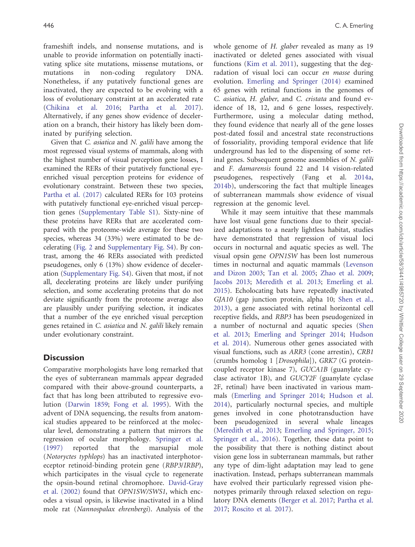frameshift indels, and nonsense mutations, and is unable to provide information on potentially inactivating splice site mutations, missense mutations, or mutations in non-coding regulatory DNA. Nonetheless, if any putatively functional genes are inactivated, they are expected to be evolving with a loss of evolutionary constraint at an accelerated rate [\(Chikina et al. 2016](#page-9-0); [Partha et al. 2017](#page-10-0)). Alternatively, if any genes show evidence of deceleration on a branch, their history has likely been dominated by purifying selection.

Given that C. asiatica and N. galili have among the most regressed visual systems of mammals, along with the highest number of visual perception gene losses, I examined the RERs of their putatively functional eyeenriched visual perception proteins for evidence of evolutionary constraint. Between these two species, [Partha et al. \(2017\)](#page-10-0) calculated RERs for 103 proteins with putatively functional eye-enriched visual perception genes [\(Supplementary Table S1\)](https://academic.oup.com/icb/article-lookup/doi/10.1093/icb/icy004#supplementary-data). Sixty-nine of these proteins have RERs that are accelerated compared with the proteome-wide average for these two species, whereas 34 (33%) were estimated to be decelerating ([Fig. 2](#page-7-0) and [Supplementary Fig. S4](https://academic.oup.com/icb/article-lookup/doi/10.1093/icb/icy004#supplementary-data)). By contrast, among the 46 RERs associated with predicted pseudogenes, only 6 (13%) show evidence of deceleration [\(Supplementary Fig. S4](https://academic.oup.com/icb/article-lookup/doi/10.1093/icb/icy004#supplementary-data)). Given that most, if not all, decelerating proteins are likely under purifying selection, and some accelerating proteins that do not deviate significantly from the proteome average also are plausibly under purifying selection, it indicates that a number of the eye enriched visual perception genes retained in C. asiatica and N. galili likely remain under evolutionary constraint.

# **Discussion**

Comparative morphologists have long remarked that the eyes of subterranean mammals appear degraded compared with their above-ground counterparts, a fact that has long been attributed to regressive evolution [\(Darwin 1859](#page-9-0); [Fong et al. 1995](#page-9-0)). With the advent of DNA sequencing, the results from anatomical studies appeared to be reinforced at the molecular level, demonstrating a pattern that mirrors the regression of ocular morphology. [Springer et al.](#page-10-0) [\(1997\)](#page-10-0) reported that the marsupial mole (Notoryctes typhlops) has an inactivated interphotoreceptor retinoid-binding protein gene (RBP3/IRBP), which participates in the visual cycle to regenerate the opsin-bound retinal chromophore. [David-Gray](#page-9-0) [et al. \(2002\)](#page-9-0) found that OPN1SW/SWS1, which encodes a visual opsin, is likewise inactivated in a blind mole rat (Nannospalax ehrenbergi). Analysis of the

whole genome of H. glaber revealed as many as 19 inactivated or deleted genes associated with visual functions [\(Kim et al. 2011](#page-10-0)), suggesting that the degradation of visual loci can occur en masse during evolution. [Emerling and Springer \(2014\)](#page-9-0) examined 65 genes with retinal functions in the genomes of C. asiatica, H. glaber, and C. cristata and found evidence of 18, 12, and 6 gene losses, respectively. Furthermore, using a molecular dating method, they found evidence that nearly all of the gene losses post-dated fossil and ancestral state reconstructions of fossoriality, providing temporal evidence that life underground has led to the dispensing of some retinal genes. Subsequent genome assemblies of N. galili and F. damarensis found 22 and 14 vision-related pseudogenes, respectively (Fang et al. [2014a,](#page-9-0) [2014b](#page-9-0)), underscoring the fact that multiple lineages of subterranean mammals show evidence of visual regression at the genomic level.

While it may seem intuitive that these mammals have lost visual gene functions due to their specialized adaptations to a nearly lightless habitat, studies have demonstrated that regression of visual loci occurs in nocturnal and aquatic species as well. The visual opsin gene OPN1SW has been lost numerous times in nocturnal and aquatic mammals [\(Levenson](#page-10-0) [and Dizon 2003](#page-10-0); [Tan et al. 2005](#page-11-0); [Zhao et al. 2009;](#page-11-0) [Jacobs 2013;](#page-9-0) [Meredith et al. 2013](#page-10-0); [Emerling et al.](#page-9-0) [2015\)](#page-9-0). Echolocating bats have repeatedly inactivated GJA10 (gap junction protein, alpha 10; [Shen et al.,](#page-10-0) [2013\)](#page-10-0), a gene associated with retinal horizontal cell receptive fields, and RBP3 has been pseudogenized in a number of nocturnal and aquatic species ([Shen](#page-10-0) [et al. 2013](#page-10-0); [Emerling and Springer 2014;](#page-9-0) [Hudson](#page-9-0) [et al. 2014\)](#page-9-0). Numerous other genes associated with visual functions, such as ARR3 (cone arrestin), CRB1 (crumbs homolog 1 [Drosophila]), GRK7 (G proteincoupled receptor kinase 7), GUCA1B (guanylate cyclase activator 1B), and GUCY2F (guanylate cyclase 2F, retinal) have been inactivated in various mammals [\(Emerling and Springer 2014;](#page-9-0) [Hudson et al.](#page-9-0) [2014\)](#page-9-0), particularly nocturnal species, and multiple genes involved in cone phototransduction have been pseudogenized in several whale lineages ([Meredith et al., 2013;](#page-10-0) [Emerling and Springer, 2015;](#page-9-0) [Springer et al., 2016\)](#page-10-0). Together, these data point to the possibility that there is nothing distinct about vision gene loss in subterranean mammals, but rather any type of dim-light adaptation may lead to gene inactivation. Instead, perhaps subterranean mammals have evolved their particularly regressed vision phenotypes primarily through relaxed selection on regulatory DNA elements ([Berger et al. 2017;](#page-9-0) [Partha et al.](#page-10-0) [2017;](#page-10-0) [Roscito et al. 2017](#page-10-0)).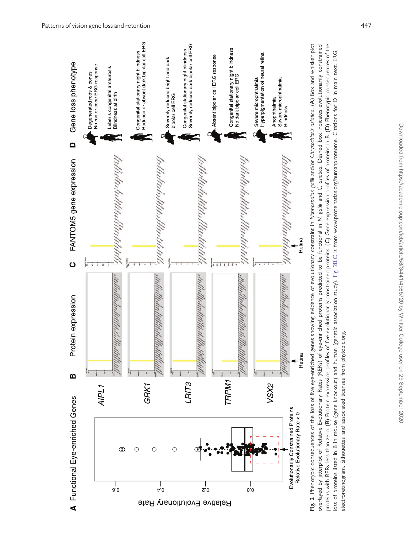<span id="page-7-0"></span>

proteins with RERs less than zero. (B) Protein expression profiles of five evolutionarly constrained proteins. (C) Gene expression profiles of proteins in B. (D) Phenotypic consequences of the Fig. 2 Phenotypic consequences of the loss of five eye-enriched genes showing evidence of evolutionary constraint in Nannospalax galili and/or Chrysochloris asiatica. (A) Box and whisker plot overlayed by jitterplot of Relative Evolutionary Rates (RERs) of eye-enriched proteins predicted to be functional in N. galili and C. asiatica. Dashed box indicates evolutionarily constrained proteins with RERs less than zero. (B) Protein expression profiles of five evolutionarily constrained proteins. (C) Gene expression profiles of proteins in B. (D) Phenotypic consequences of the overlayed by jitterplot of Relative Evolutionary Rates (RERs) of eye-enriched proteins predicted to be functional in N. galili and C. asiatica. Dashed box indicates evolutionarily constrained loss of proteins listed in B in mouse (gene knockout) and human (genetic association study). Fig. 2B,C is from www.proteinatlas.org/humanproteome. Citations for D in main text. ERG, loss of proteins listed in B in mouse (gene knockout) and human (genetic association study). Fig. 2B,C is from [www.proteinatlas.org/humanproteome](http://www.proteinatlas.org/humanproteome). Citations for D in main text. ERG, electroretinogram. Silhouettes and associated licenses from phylopic.org. electroretinogram. Silhouettes and associated licenses from phylopic.org.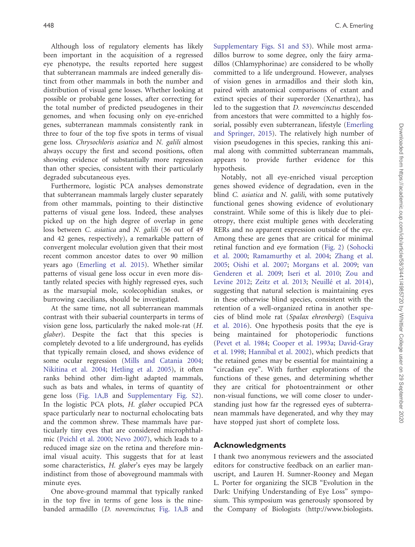Although loss of regulatory elements has likely been important in the acquisition of a regressed eye phenotype, the results reported here suggest that subterranean mammals are indeed generally distinct from other mammals in both the number and distribution of visual gene losses. Whether looking at possible or probable gene losses, after correcting for the total number of predicted pseudogenes in their genomes, and when focusing only on eye-enriched genes, subterranean mammals consistently rank in three to four of the top five spots in terms of visual gene loss. Chrysochloris asiatica and N. galili almost always occupy the first and second positions, often showing evidence of substantially more regression than other species, consistent with their particularly degraded subcutaneous eyes.

Furthermore, logistic PCA analyses demonstrate that subterranean mammals largely cluster separately from other mammals, pointing to their distinctive patterns of visual gene loss. Indeed, these analyses picked up on the high degree of overlap in gene loss between C. asiatica and N. galili (36 out of 49 and 42 genes, respectively), a remarkable pattern of convergent molecular evolution given that their most recent common ancestor dates to over 90 million years ago ([Emerling et al. 2015\)](#page-9-0). Whether similar patterns of visual gene loss occur in even more distantly related species with highly regressed eyes, such as the marsupial mole, scolecophidian snakes, or burrowing caecilians, should be investigated.

At the same time, not all subterranean mammals contrast with their subaerial counterparts in terms of vision gene loss, particularly the naked mole-rat (H. glaber). Despite the fact that this species is completely devoted to a life underground, has eyelids that typically remain closed, and shows evidence of some ocular regression ([Mills and Catania 2004](#page-10-0); [Nikitina et al. 2004](#page-10-0); [Hetling et al. 2005](#page-9-0)), it often ranks behind other dim-light adapted mammals, such as bats and whales, in terms of quantity of gene loss ([Fig. 1A,B](#page-5-0) and [Supplementary Fig. S2](https://academic.oup.com/icb/article-lookup/doi/10.1093/icb/icy004#supplementary-data)). In the logistic PCA plots, H. glaber occupied PCA space particularly near to nocturnal echolocating bats and the common shrew. These mammals have particularly tiny eyes that are considered microphthalmic [\(Peichl et al. 2000;](#page-10-0) [Nevo 2007\)](#page-10-0), which leads to a reduced image size on the retina and therefore minimal visual acuity. This suggests that for at least some characteristics, H. glaber's eyes may be largely indistinct from those of aboveground mammals with minute eyes.

One above-ground mammal that typically ranked in the top five in terms of gene loss is the ninebanded armadillo (D. novemcinctus; [Fig. 1A,B](#page-5-0) and

448 C. A. Emerling

[Supplementary Figs. S1 and S3\)](https://academic.oup.com/icb/article-lookup/doi/10.1093/icb/icy004#supplementary-data). While most armadillos burrow to some degree, only the fairy armadillos (Chlamyphorinae) are considered to be wholly committed to a life underground. However, analyses of vision genes in armadillos and their sloth kin, paired with anatomical comparisons of extant and extinct species of their superorder (Xenarthra), has led to the suggestion that D. novemcinctus descended from ancestors that were committed to a highly fossorial, possibly even subterranean, lifestyle ([Emerling](#page-9-0) [and Springer, 2015](#page-9-0)). The relatively high number of vision pseudogenes in this species, ranking this animal along with committed subterranean mammals, appears to provide further evidence for this hypothesis.

Notably, not all eye-enriched visual perception genes showed evidence of degradation, even in the blind *C. asiatica* and *N. galili*, with some putatively functional genes showing evidence of evolutionary constraint. While some of this is likely due to pleiotropy, there exist multiple genes with decelerating RERs and no apparent expression outside of the eye. Among these are genes that are critical for minimal retinal function and eye formation [\(Fig. 2\)](#page-7-0) [\(Sohocki](#page-10-0) [et al. 2000;](#page-10-0) [Ramamurthy et al. 2004](#page-10-0); [Zhang et al.](#page-11-0) [2005;](#page-11-0) [Oishi et al. 2007](#page-10-0); [Morgans et al. 2009](#page-10-0); [van](#page-11-0) [Genderen et al. 2009;](#page-11-0) [Iseri et al. 2010](#page-9-0); [Zou and](#page-11-0) [Levine 2012](#page-11-0); [Zeitz et al. 2013](#page-11-0); [Neuill](#page-10-0)é [et al. 2014\)](#page-10-0), suggesting that natural selection is maintaining eyes in these otherwise blind species, consistent with the retention of a well-organized retina in another species of blind mole rat (Spalax ehrenbergi) ([Esquiva](#page-9-0) [et al. 2016\)](#page-9-0). One hypothesis posits that the eye is being maintained for photoperiodic functions ([Pevet et al. 1984](#page-10-0); [Cooper et al. 1993a;](#page-9-0) [David-Gray](#page-9-0) [et al. 1998;](#page-9-0) [Hannibal et al. 2002](#page-9-0)), which predicts that the retained genes may be essential for maintaining a "circadian eye". With further explorations of the functions of these genes, and determining whether they are critical for photoentrainment or other non-visual functions, we will come closer to understanding just how far the regressed eyes of subterranean mammals have degenerated, and why they may have stopped just short of complete loss.

### Acknowledgments

I thank two anonymous reviewers and the associated editors for constructive feedback on an earlier manuscript, and Lauren H. Sumner-Rooney and Megan L. Porter for organizing the SICB "Evolution in the Dark: Unifying Understanding of Eye Loss" symposium. This symposium was generously sponsored by the Company of Biologists ([http://www.biologists.](http://www.biologists.com)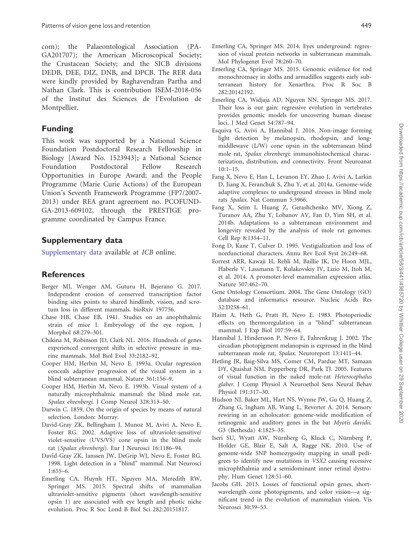<span id="page-9-0"></span>[com](http://www.biologists.com)); the Palaeontological Association (PA-GA201707); the American Microscopical Society; the Crustacean Society; and the SICB divisions DEDB, DEE, DIZ, DNB, and DPCB. The RER data were kindly provided by Raghavendran Partha and Nathan Clark. This is contribution ISEM-2018-056 of the Institut des Sciences de l'Evolution de Montpellier.

# Funding

This work was supported by a National Science Foundation Postdoctoral Research Fellowship in Biology [Award No. 1523943]; a National Science Foundation Postdoctoral Fellow Research Opportunities in Europe Award; and the People Programme (Marie Curie Actions) of the European Union's Seventh Framework Programme (FP7/2007- 2013) under REA grant agreement no. PCOFUND-GA-2013-609102, through the PRESTIGE programme coordinated by Campus France.

# Supplementary data

[Supplementary data](https://academic.oup.com/icb/article-lookup/doi/10.1093/icb/icy004#supplementary-data) available at ICB online.

# References

- Berger MJ, Wenger AM, Guturu H, Bejerano G. 2017. Independent erosion of conserved transcription factor binding sites points to shared hindlimb, vision, and scrotum loss in different mammals. bioRxiv 197756.
- Chase HB, Chase EB. 1941. Studies on an anophthalmic strain of mice I. Embryology of the eye region. J Morphol 68:279–301.
- Chikina M, Robinson JD, Clark NL. 2016. Hundreds of genes experienced convergent shifts in selective pressure in marine mammals. Mol Biol Evol 33:2182–92.
- Cooper HM, Herbin M, Nevo E. 1993a. Ocular regression conceals adaptive progression of the visual system in a blind subterranean mammal. Nature 361:156–9.
- Cooper HM, Herbin M, Nevo E. 1993b. Visual system of a naturally microphthalmic mammal: the blind mole rat, Spalax ehrenbergi. J Comp Neurol 328:313–50.
- Darwin C. 1859. On the origin of species by means of natural selection. London: Murray.
- David-Gray ZK, Bellingham J, Munoz M, Avivi A, Nevo E, Foster RG. 2002. Adaptive loss of ultraviolet-sensitive/ violet-sensitive (UVS/VS) cone opsin in the blind mole rat (Spalax ehrenbergi). Eur J Neurosci 16:1186–94.
- David-Gray ZK, Janssen JW, DeGrip WJ, Nevo E, Foster RG. 1998. Light detection in a "blind" mammal. Nat Neurosci 1:655–6.
- Emerling CA, Huynh HT, Nguyen MA, Meredith RW, Springer MS. 2015. Spectral shifts of mammalian ultraviolet-sensitive pigments (short wavelength-sensitive opsin 1) are associated with eye length and photic niche evolution. Proc R Soc Lond B Biol Sci 282:20151817.
- Emerling CA, Springer MS. 2014. Eyes underground: regression of visual protein networks in subterranean mammals. Mol Phylogenet Evol 78:260–70.
- Emerling CA, Springer MS. 2015. Genomic evidence for rod monochromacy in sloths and armadillos suggests early subterranean history for Xenarthra. Proc R Soc B 282:20142192.
- Emerling CA, Widjaja AD, Nguyen NN, Springer MS. 2017. Their loss is our gain: regressive evolution in vertebrates provides genomic models for uncovering human disease loci. J Med Genet 54:787–94.
- Esquiva G, Avivi A, Hannibal J. 2016. Non-image forming light detection by melanopsin, rhodopsin, and longmiddlewave (L/W) cone opsin in the subterranean blind mole rat, Spalax ehrenbergi: immunohistochemical characterization, distribution, and connectivity. Front Neuroanat 10:1–15.
- Fang X, Nevo E, Han L, Levanon EY, Zhao J, Avivi A, Larkin D, Jiang X, Feranchuk S, Zhu Y, et al. 2014a. Genome-wide adaptive complexes to underground stresses in blind mole rats Spalax. Nat Commun 5:3966.
- Fang X, Seim I, Huang Z, Gerashchenko MV, Xiong Z, Turanov AA, Zhu Y, Lobanov AV, Fan D, Yim SH, et al. 2014b. Adaptations to a subterranean environment and longevity revealed by the analysis of mole rat genomes. Cell Rep 8:1354–11.
- Fong D, Kane T, Culver D. 1995. Vestigialization and loss of nonfunctional characters. Annu Rev Ecol Syst 26:249–68.
- Forrest ARR, Kawaji H, Rehli M, Baillie JK, De Hoon MJL, Haberle V, Lassmann T, Kulakovskiy IV, Lizio M, Itoh M, et al. 2014. A promoter-level mammalian expression atlas. Nature 507:462–70.
- Gene Ontology Consortium. 2004. The Gene Ontology (GO) database and informatics resource. Nucleic Acids Res 32:D258–61.
- Haim A, Heth G, Pratt H, Nevo E. 1983. Photoperiodic effects on thermoregulation in a "blind" subterranean mammal. J Exp Biol 107:59–64.
- Hannibal J, Hindersson P, Nevo E, Fahrenkrug J. 2002. The circadian photopigment melanopsin is expressed in the blind subterranean mole rat, Spalax. Neuroreport 13:1411-44.
- Hetling JR, Baig-Silva MS, Comer CM, Pardue MT, Samaan DY, Qtaishat NM, Pepperberg DR, Park TJ. 2005. Features of visual function in the naked mole-rat Heterocephalus glaber. J Comp Physiol A Neuroethol Sens Neural Behav Physiol 191:317–30.
- Hudson NJ, Baker ML, Hart NS, Wynne JW, Gu Q, Huang Z, Zhang G, Ingham AB, Wang L, Reverter A. 2014. Sensory rewiring in an echolocator: genome-wide modification of retinogenic and auditory genes in the bat Myotis davidii. G3 (Bethesda) 4:1825–35.
- Iseri SU, Wyatt AW, Nürnberg G, Kluck C, Nürnberg P, Holder GE, Blair E, Salt A, Ragge NK. 2010. Use of genome-wide SNP homozygosity mapping in small pedigrees to identify new mutations in VSX2 causing recessive microphthalmia and a semidominant inner retinal dystrophy. Hum Genet 128:51–60.
- Jacobs GH. 2013. Losses of functional opsin genes, shortwavelength cone photopigments, and color vision—a significant trend in the evolution of mammalian vision. Vis Neurosci 30:39–53.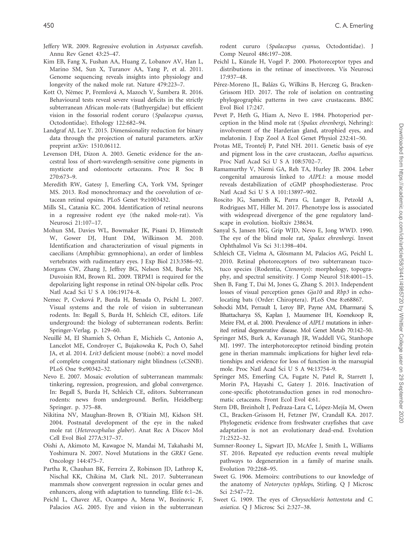- <span id="page-10-0"></span>Jeffery WR. 2009. Regressive evolution in Astyanax cavefish. Annu Rev Genet 43:25–47.
- Kim EB, Fang X, Fushan AA, Huang Z, Lobanov AV, Han L, Marino SM, Sun X, Turanov AA, Yang P, et al. 2011. Genome sequencing reveals insights into physiology and longevity of the naked mole rat. Nature 479:223–7.
- Kott O, Němec P, Fremlová A, Mazoch V, Šumbera R. 2016. Behavioural tests reveal severe visual deficits in the strictly subterranean African mole-rats (Bathyergidae) but efficient vision in the fossorial rodent coruro (Spalacopus cyanus, Octodontidae). Ethology 122:682–94.
- Landgraf AJ, Lee Y. 2015. Dimensionality reduction for binary data through the projection of natural parameters. arXiv preprint arXiv: 1510.06112.
- Levenson DH, Dizon A. 2003. Genetic evidence for the ancestral loss of short-wavelength-sensitive cone pigments in mysticete and odontocete cetaceans. Proc R Soc B 270:673–9.
- Meredith RW, Gatesy J, Emerling CA, York VM, Springer MS. 2013. Rod monochromacy and the coevolution of cetacean retinal opsins. PLoS Genet 9:e1003432.
- Mills SL, Catania KC. 2004. Identification of retinal neurons in a regressive rodent eye (the naked mole-rat). Vis Neurosci 21:107–17.
- Mohun SM, Davies WL, Bowmaker JK, Pisani D, Himstedt W, Gower DJ, Hunt DM, Wilkinson M. 2010. Identification and characterization of visual pigments in caecilians (Amphibia: gymnophiona), an order of limbless vertebrates with rudimentary eyes. J Exp Biol 213:3586–92.
- Morgans CW, Zhang J, Jeffrey BG, Nelson SM, Burke NS, Duvoisin RM, Brown RL. 2009. TRPM1 is required for the depolarizing light response in retinal ON-bipolar cells. Proc Natl Acad Sci U S A 106:19174–8.
- Nemec P, Cveková P, Burda H, Benada O, Peichl L. 2007. Visual systems and the role of vision in subterranean rodents. In: Begall S, Burda H, Schleich CE, editors. Life underground: the biology of subterranean rodents. Berlin: Springer-Verlag. p. 129–60.
- Neuillé M, El Shamieh S, Orhan E, Michiels C, Antonio A, Lancelot ME, Condroyer C, Bujakowska K, Poch O, Sahel JA, et al. 2014. Lrit3 deficient mouse (nob6): a novel model of complete congenital stationary night blindness (cCSNB). PLoS One 9:e90342–32.
- Nevo E. 2007. Mosaic evolution of subterranean mammals: tinkering, regression, progression, and global convergence. In: Begall S, Burda H, Schleich CE, editors. Subterranean rodents: news from underground. Berlin, Heidelberg: Springer. p. 375–88.
- Nikitina NV, Maughan-Brown B, O'Riain MJ, Kidson SH. 2004. Postnatal development of the eye in the naked mole rat (Heterocephalus glaber). Anat Rec A Discov Mol Cell Evol Biol 277A:317–37.
- Oishi A, Akimoto M, Kawagoe N, Mandai M, Takahashi M, Yoshimura N. 2007. Novel Mutations in the GRK1 Gene. Oncology 144:475–7.
- Partha R, Chauhan BK, Ferreira Z, Robinson JD, Lathrop K, Nischal KK, Chikina M, Clark NL. 2017. Subterranean mammals show convergent regression in ocular genes and enhancers, along with adaptation to tunneling. Elife 6:1–26.
- Peichl L, Chavez AE, Ocampo A, Mena W, Bozinovic F, Palacios AG. 2005. Eye and vision in the subterranean

rodent cururo (Spalacopus cyanus, Octodontidae). J Comp Neurol 486:197–208.

- Peichl L, Künzle H, Vogel P. 2000. Photoreceptor types and distributions in the retinae of insectivores. Vis Neurosci 17:937–48.
- Pérez-Moreno JL, Balázs G, Wilkins B, Herczeg G, Bracken-Grissom HD. 2017. The role of isolation on contrasting phylogeographic patterns in two cave crustaceans. BMC Evol Biol 17:247.
- Pevet P, Heth G, Hiam A, Nevo E. 1984. Photoperiod perception in the blind mole rat (Spalax ehrenbergi, Nehring): involvement of the Harderian gland, atrophied eyes, and melatonin. J Exp Zool A Ecol Genet Physiol 232:41–50.
- Protas ME, Trontelj P, Patel NH. 2011. Genetic basis of eye and pigment loss in the cave crustacean, Asellus aquaticus. Proc Natl Acad Sci U S A 108:5702–7.
- Ramamurthy V, Niemi GA, Reh TA, Hurley JB. 2004. Leber congenital amaurosis linked to AIPL1: a mouse model reveals destabilization of cGMP phosphodiesterase. Proc Natl Acad Sci U S A 101:13897–902.
- Roscito JG, Sameith K, Parra G, Langer B, Petzold A, Rodrigues MT, Hiller M. 2017. Phenotype loss is associated with widespread divergence of the gene regulatory landscape in evolution. bioRxiv 238634.
- Sanyal S, Jansen HG, Grip WJD, Nevo E, Jong WWD. 1990. The eye of the blind mole rat, Spalax ehrenbergi. Invest Ophthalmol Vis Sci 31:1398–404.
- Schleich CE, Vielma A, Glösmann M, Palacios AG, Peichl L. 2010. Retinal photoreceptors of two subterranean tucotuco species (Rodentia, Ctenomys): morphology, topography, and spectral sensitivity. J Comp Neurol 518:4001–15.
- Shen B, Fang T, Dai M, Jones G, Zhang S. 2013. Independent losses of visual perception genes Gja10 and Rbp3 in echolocating bats (Order: Chiroptera). PLoS One 8:e68867.
- Sohocki MM, Perrault I, Leroy BP, Payne AM, Dharmaraj S, Bhattacharya SS, Kaplan J, Maumenee IH, Koenekoop R, Meire FM, et al. 2000. Prevalence of AIPL1 mutations in inherited retinal degenerative disease. Mol Genet Metab 70:142–50.
- Springer MS, Burk A, Kavanagh JR, Waddell VG, Stanhope MJ. 1997. The interphotoreceptor retinoid binding protein gene in therian mammals: implications for higher level relationships and evidence for loss of function in the marsupial mole. Proc Natl Acad Sci U S A 94:13754–9.
- Springer MS, Emerling CA, Fugate N, Patel R, Starrett J, Morin PA, Hayashi C, Gatesy J. 2016. Inactivation of cone-specific phototransduction genes in rod monochromatic cetaceans. Front Ecol Evol 4:61.
- Stern DB, Breinholt J, Pedraza-Lara C, López-Mejía M, Owen CL, Bracken-Grissom H, Fetzner JW, Crandall KA. 2017. Phylogenetic evidence from freshwater crayfishes that cave adaptation is not an evolutionary dead-end. Evolution 71:2522–32.
- Sumner-Rooney L, Sigwart JD, McAfee J, Smith L, Williams ST. 2016. Repeated eye reduction events reveal multiple pathways to degeneration in a family of marine snails. Evolution 70:2268–95.
- Sweet G. 1906. Memoirs: contributions to our knowledge of the anatomy of Notoryctes typhlops, Stirling. Q J Microsc Sci 2:547–72.
- Sweet G. 1909. The eyes of Chrysochloris hottentota and C. asiatica. Q J Microsc Sci 2:327–38.